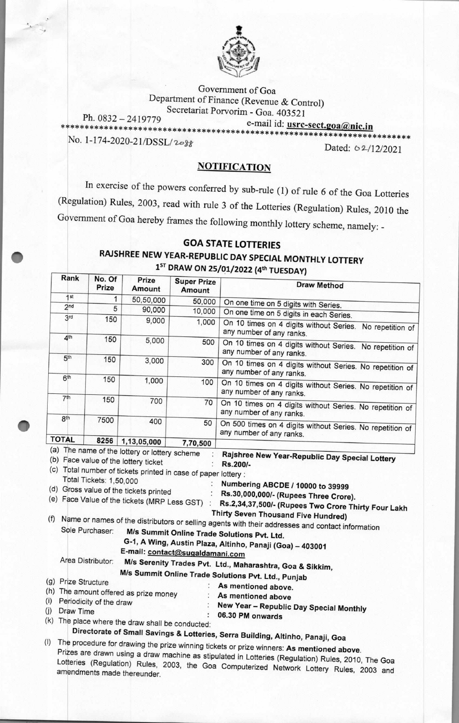

*Government* of Goa Department of Finance (Revenue & Control) Secretariat Porvorim - Goa. 403521

amendments made thereunder.

Ph. 0832 — 2419779 e-mail id: **usrc-sect.goa(&,nic.in \*\*\*\*\*\*\*\*\*\*\*\*\*\*\*\*\*\*\*\*\*\*\*\*\*\*\*\*\*\*\*\*\*\*\*\*\*\*\*\*\*\*\*\*\*\*\*\*\*\*\*\*\*\*\*\*\*\*\*\*\*\*\*\*\*\*\*\*\*\*\*\*** 

No. 1-174-2020-21/DSSL/2088<br>Dated: 02/12/2021

## **NOTIFICATION**

In exercise of the powers conferred by sub-rule (1) of rule 6 of the Goa Lotteries (Regulation) Rules, 2003, read with rule 3 of the Lotteries (Regulation) Rules, 2010 the Government of Goa hereby frames the following monthly lottery scheme, namely: **-** 

## **GOA STATE LOTTERIES RAJSHREE NEW YEAR-REPUBLIC DAY SPECIAL MONTHLY LOTTERY**  1ST **DRAW ON 25/01/2022 (4th TUESDAY)**

| Rank                                  | No. Of<br>Prize         | Prize<br>Amount                                              | <b>Super Prize</b><br>Amount                   | <b>Draw Method</b>                                                                                                                                                                                                                                                                                                                                  |
|---------------------------------------|-------------------------|--------------------------------------------------------------|------------------------------------------------|-----------------------------------------------------------------------------------------------------------------------------------------------------------------------------------------------------------------------------------------------------------------------------------------------------------------------------------------------------|
| 1st                                   | 1                       | 50,50,000                                                    | 50,000                                         |                                                                                                                                                                                                                                                                                                                                                     |
| 2 <sub>nd</sub>                       | 5                       | 90,000                                                       | 10,000                                         | On one time on 5 digits with Series.                                                                                                                                                                                                                                                                                                                |
| 3rd                                   | 150                     | 9,000                                                        | 1,000                                          | On one time on 5 digits in each Series.                                                                                                                                                                                                                                                                                                             |
| 4 <sup>th</sup>                       |                         |                                                              |                                                | On 10 times on 4 digits without Series. No repetition of<br>any number of any ranks.                                                                                                                                                                                                                                                                |
|                                       | 150                     | 5,000                                                        | 500                                            | On 10 times on 4 digits without Series. No repetition of<br>any number of any ranks.                                                                                                                                                                                                                                                                |
| 5 <sup>th</sup>                       | 150                     | 3,000                                                        | 300                                            | On 10 times on 4 digits without Series. No repetition of<br>any number of any ranks.                                                                                                                                                                                                                                                                |
| 6 <sup>th</sup>                       | 150                     | 1,000                                                        | 100                                            | On 10 times on 4 digits without Series. No repetition of<br>any number of any ranks.                                                                                                                                                                                                                                                                |
| 7 <sup>th</sup>                       | 150                     | 700                                                          | 70                                             | On 10 times on 4 digits without Series. No repetition of<br>any number of any ranks.                                                                                                                                                                                                                                                                |
| 8 <sup>th</sup>                       | 7500                    | 400                                                          | 50                                             | On 500 times on 4 digits without Series. No repetition of<br>any number of any ranks.                                                                                                                                                                                                                                                               |
| <b>TOTAL</b>                          | 8256                    | 1,13,05,000<br>(a) The name of the lottery or lottery scheme | 7,70,500                                       |                                                                                                                                                                                                                                                                                                                                                     |
| (f)                                   | Sole Purchaser:         | (d) Gross value of the tickets printed                       | (e) Face Value of the tickets (MRP Less GST) : | Rs.30,000,000/- (Rupees Three Crore).<br>Rs.2,34,37,500/- (Rupees Two Crore Thirty Four Lakh<br>Thirty Seven Thousand Five Hundred)<br>Name or names of the distributors or selling agents with their addresses and contact information<br>M/s Summit Online Trade Solutions Pvt. Ltd.<br>G-1, A Wing, Austin Plaza, Altinho, Panaji (Goa) - 403001 |
|                                       |                         |                                                              | E-mail: contact@sugaldamani.com                |                                                                                                                                                                                                                                                                                                                                                     |
|                                       | Area Distributor:       |                                                              |                                                | M/s Serenity Trades Pvt. Ltd., Maharashtra, Goa & Sikkim,                                                                                                                                                                                                                                                                                           |
|                                       |                         |                                                              |                                                | M/s Summit Online Trade Solutions Pvt. Ltd., Punjab                                                                                                                                                                                                                                                                                                 |
| (g) Prize Structure                   |                         |                                                              |                                                | As mentioned above.                                                                                                                                                                                                                                                                                                                                 |
| (h) The amount offered as prize money |                         |                                                              |                                                | As mentioned above                                                                                                                                                                                                                                                                                                                                  |
| (i)                                   | Periodicity of the draw |                                                              |                                                |                                                                                                                                                                                                                                                                                                                                                     |
| (j) Draw Time                         |                         |                                                              |                                                | New Year - Republic Day Special Monthly<br>06.30 PM onwards                                                                                                                                                                                                                                                                                         |
|                                       |                         | (k) The place where the draw shall be conducted:             |                                                |                                                                                                                                                                                                                                                                                                                                                     |
|                                       |                         |                                                              |                                                | Directorate of Small Savings & Lotteries, Serra Building, Altinho, Panaji, Goa                                                                                                                                                                                                                                                                      |
| (1)                                   |                         |                                                              |                                                | The procedure for drawing the prize winning tickets or prize winners: As mentioned above.<br>Prizes are drawn using a draw machine as stipulated in Lotteries (Regulation) Rules, 2010, The Goa<br>Lotteries (Regulation) Rules, 2003, the Goa Computerized Network Lottery Rules, 2003 and                                                         |